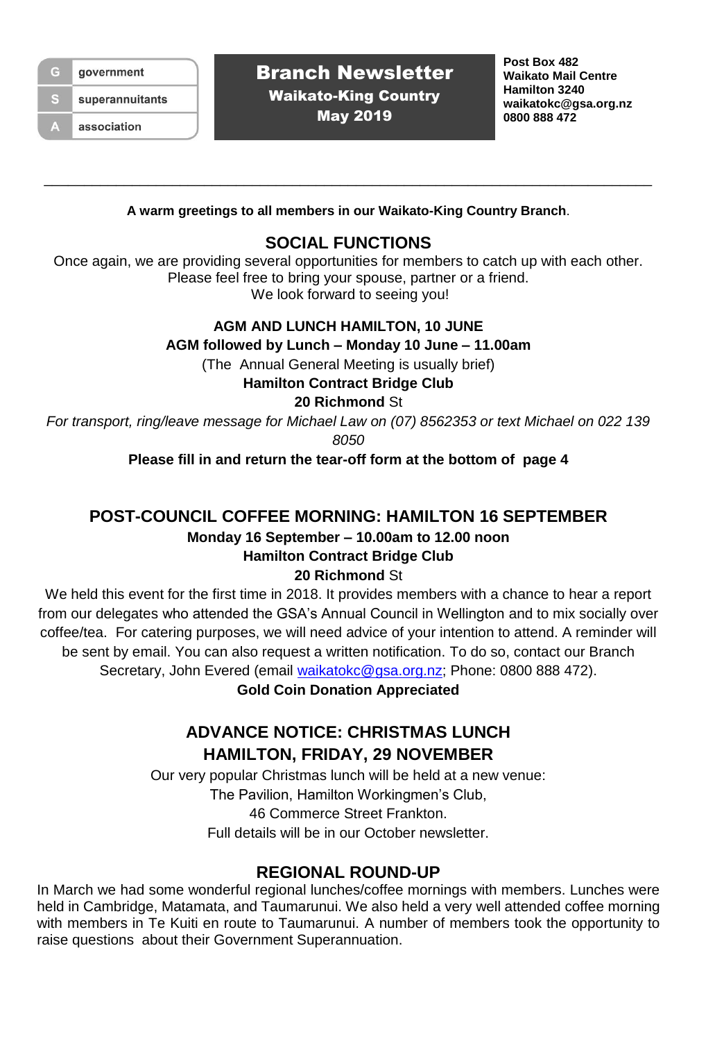- $\mathbf{G}$ government
- $S$ superannuitants

association

Branch Newsletter Waikato-King Country May 2019

**Post Box 482 Waikato Mail Centre Hamilton 3240 [waikatokc@gsa.org.nz](mailto:waikatokc@gsa.org.nz) 0800 888 472**

**A warm greetings to all members in our Waikato-King Country Branch**.

\_\_\_\_\_\_\_\_\_\_\_\_\_\_\_\_\_\_\_\_\_\_\_\_\_\_\_\_\_\_\_\_\_\_\_\_\_\_\_\_\_\_\_\_\_\_\_\_\_\_\_\_\_\_\_\_\_\_\_\_\_\_\_\_\_\_\_\_\_\_\_\_\_\_\_\_

# **SOCIAL FUNCTIONS**

Once again, we are providing several opportunities for members to catch up with each other. Please feel free to bring your spouse, partner or a friend. We look forward to seeing you!

### **AGM AND LUNCH HAMILTON, 10 JUNE**

**AGM followed by Lunch – Monday 10 June – 11.00am**

(The Annual General Meeting is usually brief)

**Hamilton Contract Bridge Club**

#### **20 Richmond** St

*For transport, ring/leave message for Michael Law on (07) 8562353 or text Michael on 022 139* 

*8050*

**Please fill in and return the tear-off form at the bottom of page 4**

# **POST-COUNCIL COFFEE MORNING: HAMILTON 16 SEPTEMBER**

**Monday 16 September – 10.00am to 12.00 noon**

# **Hamilton Contract Bridge Club**

#### **20 Richmond** St

We held this event for the first time in 2018. It provides members with a chance to hear a report from our delegates who attended the GSA's Annual Council in Wellington and to mix socially over coffee/tea. For catering purposes, we will need advice of your intention to attend. A reminder will be sent by email. You can also request a written notification. To do so, contact our Branch Secretary, John Evered (email [waikatokc@gsa.org.nz;](mailto:waikatokc@gsa.org.nz) Phone: 0800 888 472).

**Gold Coin Donation Appreciated**

# **ADVANCE NOTICE: CHRISTMAS LUNCH HAMILTON, FRIDAY, 29 NOVEMBER**

Our very popular Christmas lunch will be held at a new venue: The Pavilion, Hamilton Workingmen's Club, 46 Commerce Street Frankton. Full details will be in our October newsletter.

# **REGIONAL ROUND-UP**

In March we had some wonderful regional lunches/coffee mornings with members. Lunches were held in Cambridge, Matamata, and Taumarunui. We also held a very well attended coffee morning with members in Te Kuiti en route to Taumarunui. A number of members took the opportunity to raise questions about their Government Superannuation.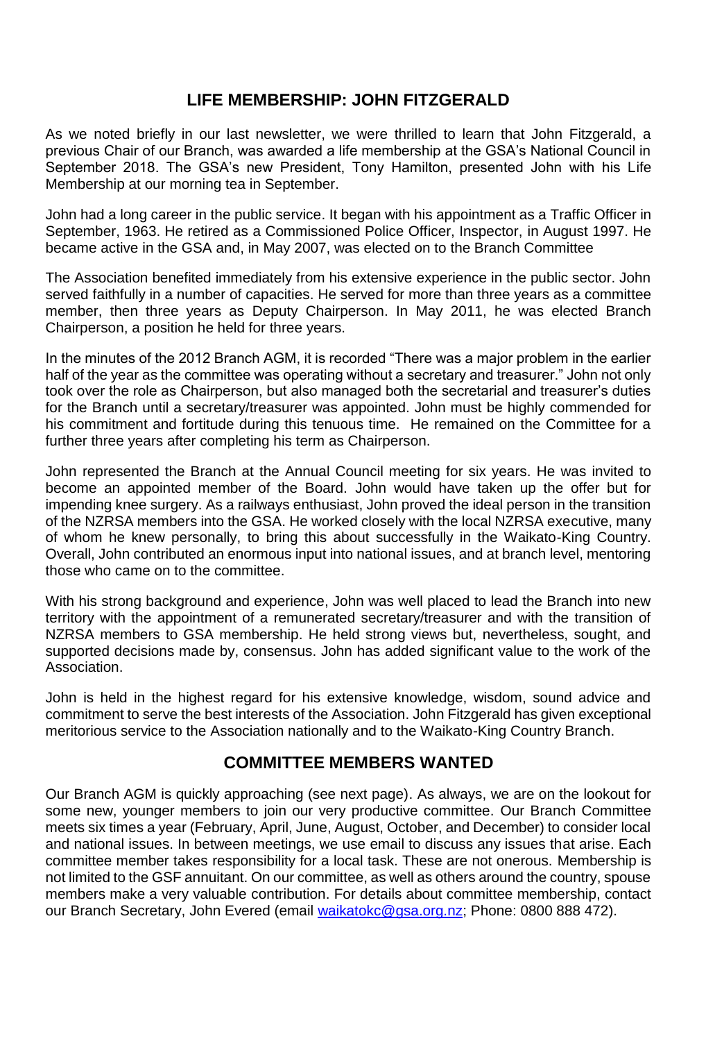# **LIFE MEMBERSHIP: JOHN FITZGERALD**

As we noted briefly in our last newsletter, we were thrilled to learn that John Fitzgerald, a previous Chair of our Branch, was awarded a life membership at the GSA's National Council in September 2018. The GSA's new President, Tony Hamilton, presented John with his Life Membership at our morning tea in September.

John had a long career in the public service. It began with his appointment as a Traffic Officer in September, 1963. He retired as a Commissioned Police Officer, Inspector, in August 1997. He became active in the GSA and, in May 2007, was elected on to the Branch Committee

The Association benefited immediately from his extensive experience in the public sector. John served faithfully in a number of capacities. He served for more than three years as a committee member, then three years as Deputy Chairperson. In May 2011, he was elected Branch Chairperson, a position he held for three years.

In the minutes of the 2012 Branch AGM, it is recorded "There was a major problem in the earlier half of the year as the committee was operating without a secretary and treasurer." John not only took over the role as Chairperson, but also managed both the secretarial and treasurer's duties for the Branch until a secretary/treasurer was appointed. John must be highly commended for his commitment and fortitude during this tenuous time. He remained on the Committee for a further three years after completing his term as Chairperson.

John represented the Branch at the Annual Council meeting for six years. He was invited to become an appointed member of the Board. John would have taken up the offer but for impending knee surgery. As a railways enthusiast, John proved the ideal person in the transition of the NZRSA members into the GSA. He worked closely with the local NZRSA executive, many of whom he knew personally, to bring this about successfully in the Waikato-King Country. Overall, John contributed an enormous input into national issues, and at branch level, mentoring those who came on to the committee.

With his strong background and experience, John was well placed to lead the Branch into new territory with the appointment of a remunerated secretary/treasurer and with the transition of NZRSA members to GSA membership. He held strong views but, nevertheless, sought, and supported decisions made by, consensus. John has added significant value to the work of the Association.

John is held in the highest regard for his extensive knowledge, wisdom, sound advice and commitment to serve the best interests of the Association. John Fitzgerald has given exceptional meritorious service to the Association nationally and to the Waikato-King Country Branch.

#### **COMMITTEE MEMBERS WANTED**

Our Branch AGM is quickly approaching (see next page). As always, we are on the lookout for some new, younger members to join our very productive committee. Our Branch Committee meets six times a year (February, April, June, August, October, and December) to consider local and national issues. In between meetings, we use email to discuss any issues that arise. Each committee member takes responsibility for a local task. These are not onerous. Membership is not limited to the GSF annuitant. On our committee, as well as others around the country, spouse members make a very valuable contribution. For details about committee membership, contact our Branch Secretary, John Evered (email [waikatokc@gsa.org.nz;](mailto:waikatokc@gsa.org.nz) Phone: 0800 888 472).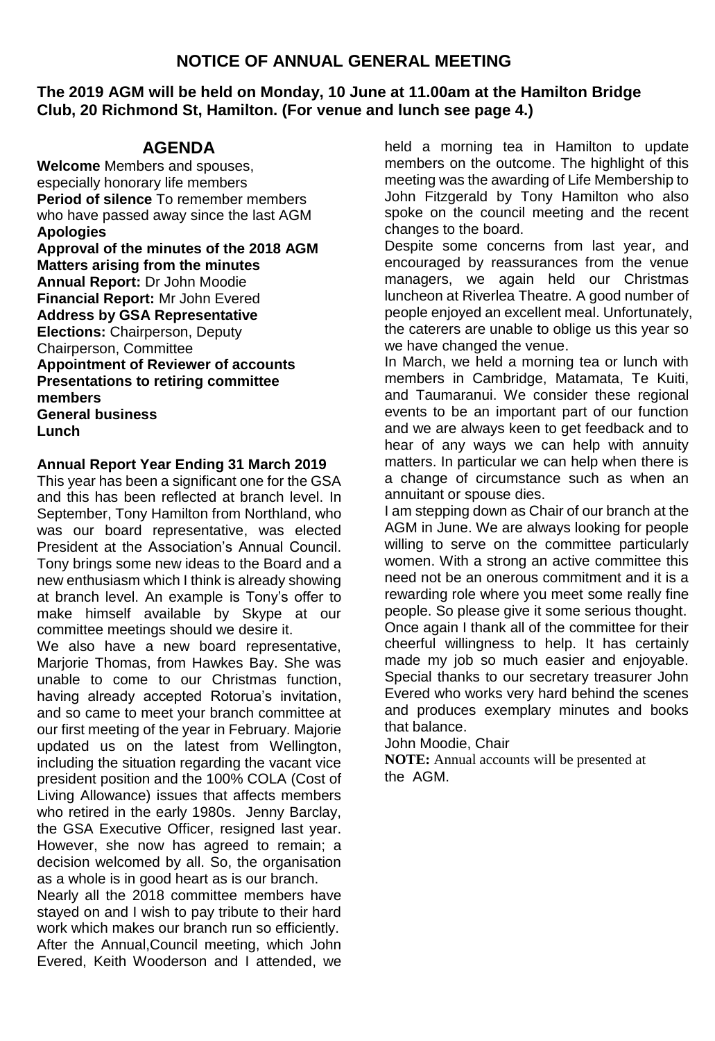# **NOTICE OF ANNUAL GENERAL MEETING**

#### **The 2019 AGM will be held on Monday, 10 June at 11.00am at the Hamilton Bridge Club, 20 Richmond St, Hamilton. (For venue and lunch see page 4.)**

# **AGENDA**

**Welcome** Members and spouses, especially honorary life members **Period of silence** To remember members who have passed away since the last AGM **Apologies Approval of the minutes of the 2018 AGM Matters arising from the minutes** 

**Annual Report:** Dr John Moodie **Financial Report:** Mr John Evered **Address by GSA Representative Elections:** Chairperson, Deputy Chairperson, Committee **Appointment of Reviewer of accounts Presentations to retiring committee members General business** 

**Lunch** 

#### **Annual Report Year Ending 31 March 2019**

This year has been a significant one for the GSA and this has been reflected at branch level. In September, Tony Hamilton from Northland, who was our board representative, was elected President at the Association's Annual Council. Tony brings some new ideas to the Board and a new enthusiasm which I think is already showing at branch level. An example is Tony's offer to make himself available by Skype at our committee meetings should we desire it.

We also have a new board representative, Marjorie Thomas, from Hawkes Bay. She was unable to come to our Christmas function, having already accepted Rotorua's invitation, and so came to meet your branch committee at our first meeting of the year in February. Majorie updated us on the latest from Wellington, including the situation regarding the vacant vice president position and the 100% COLA (Cost of Living Allowance) issues that affects members who retired in the early 1980s. Jenny Barclay, the GSA Executive Officer, resigned last year. However, she now has agreed to remain; a decision welcomed by all. So, the organisation as a whole is in good heart as is our branch.

Nearly all the 2018 committee members have stayed on and I wish to pay tribute to their hard work which makes our branch run so efficiently. After the Annual,Council meeting, which John Evered, Keith Wooderson and I attended, we

held a morning tea in Hamilton to update members on the outcome. The highlight of this meeting was the awarding of Life Membership to John Fitzgerald by Tony Hamilton who also spoke on the council meeting and the recent changes to the board.

Despite some concerns from last year, and encouraged by reassurances from the venue managers, we again held our Christmas luncheon at Riverlea Theatre. A good number of people enjoyed an excellent meal. Unfortunately, the caterers are unable to oblige us this year so we have changed the venue.

In March, we held a morning tea or lunch with members in Cambridge, Matamata, Te Kuiti, and Taumaranui. We consider these regional events to be an important part of our function and we are always keen to get feedback and to hear of any ways we can help with annuity matters. In particular we can help when there is a change of circumstance such as when an annuitant or spouse dies.

I am stepping down as Chair of our branch at the AGM in June. We are always looking for people willing to serve on the committee particularly women. With a strong an active committee this need not be an onerous commitment and it is a rewarding role where you meet some really fine people. So please give it some serious thought. Once again I thank all of the committee for their cheerful willingness to help. It has certainly made my job so much easier and enjoyable. Special thanks to our secretary treasurer John Evered who works very hard behind the scenes and produces exemplary minutes and books that balance.

John Moodie, Chair

**NOTE:** Annual accounts will be presented at the AGM.